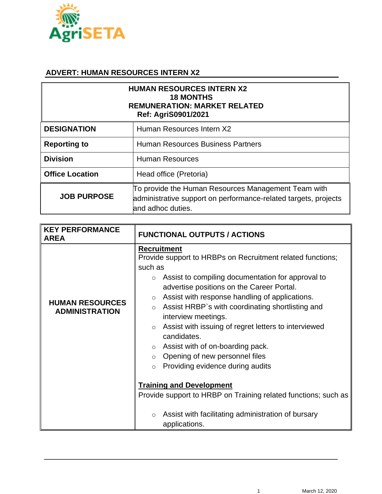

## **ADVERT: HUMAN RESOURCES INTERN X2**

| <b>HUMAN RESOURCES INTERN X2</b><br><b>18 MONTHS</b><br><b>REMUNERATION: MARKET RELATED</b><br><b>Ref: AgriS0901/2021</b> |                                                                                                                                             |  |
|---------------------------------------------------------------------------------------------------------------------------|---------------------------------------------------------------------------------------------------------------------------------------------|--|
| <b>DESIGNATION</b>                                                                                                        | Human Resources Intern X2                                                                                                                   |  |
| <b>Reporting to</b>                                                                                                       | <b>Human Resources Business Partners</b>                                                                                                    |  |
| <b>Division</b>                                                                                                           | <b>Human Resources</b>                                                                                                                      |  |
| <b>Office Location</b>                                                                                                    | Head office (Pretoria)                                                                                                                      |  |
| <b>JOB PURPOSE</b>                                                                                                        | To provide the Human Resources Management Team with<br>administrative support on performance-related targets, projects<br>and adhoc duties. |  |

| <b>KEY PERFORMANCE</b><br><b>AREA</b>           | <b>FUNCTIONAL OUTPUTS / ACTIONS</b>                                                                                                                                                                                                                                                                                                                                                                                                                                                                                                                                     |
|-------------------------------------------------|-------------------------------------------------------------------------------------------------------------------------------------------------------------------------------------------------------------------------------------------------------------------------------------------------------------------------------------------------------------------------------------------------------------------------------------------------------------------------------------------------------------------------------------------------------------------------|
| <b>HUMAN RESOURCES</b><br><b>ADMINISTRATION</b> | <b>Recruitment</b><br>Provide support to HRBPs on Recruitment related functions;<br>such as<br>Assist to compiling documentation for approval to<br>advertise positions on the Career Portal.<br>Assist with response handling of applications.<br>$\circ$<br>Assist HRBP's with coordinating shortlisting and<br>$\circ$<br>interview meetings.<br>Assist with issuing of regret letters to interviewed<br>$\circ$<br>candidates.<br>$\circ$ Assist with of on-boarding pack.<br>$\circ$ Opening of new personnel files<br>Providing evidence during audits<br>$\circ$ |
|                                                 | <b>Training and Development</b><br>Provide support to HRBP on Training related functions; such as<br>Assist with facilitating administration of bursary<br>$\circ$<br>applications.                                                                                                                                                                                                                                                                                                                                                                                     |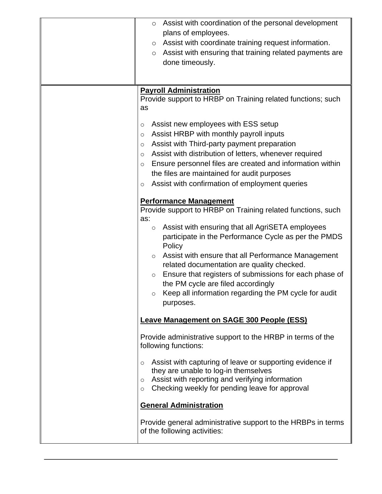| Assist with coordination of the personal development<br>$\circ$<br>plans of employees.<br>Assist with coordinate training request information.<br>$\circ$<br>Assist with ensuring that training related payments are<br>$\circ$<br>done timeously.                                                                                                                                                                                                                                                                                              |
|-------------------------------------------------------------------------------------------------------------------------------------------------------------------------------------------------------------------------------------------------------------------------------------------------------------------------------------------------------------------------------------------------------------------------------------------------------------------------------------------------------------------------------------------------|
| <b>Payroll Administration</b><br>Provide support to HRBP on Training related functions; such<br>as<br>Assist new employees with ESS setup<br>$\circ$<br>Assist HRBP with monthly payroll inputs<br>$\circ$<br>Assist with Third-party payment preparation<br>O<br>Assist with distribution of letters, whenever required<br>$\circ$<br>Ensure personnel files are created and information within<br>$\circ$<br>the files are maintained for audit purposes<br>Assist with confirmation of employment queries<br>$\circ$                         |
| <b>Performance Management</b><br>Provide support to HRBP on Training related functions, such<br>as:<br>Assist with ensuring that all AgriSETA employees<br>$\circ$<br>participate in the Performance Cycle as per the PMDS<br>Policy<br>Assist with ensure that all Performance Management<br>$\circ$<br>related documentation are quality checked.<br>Ensure that registers of submissions for each phase of<br>$\circ$<br>the PM cycle are filed accordingly<br>Keep all information regarding the PM cycle for audit<br>$\circ$<br>purposes. |
| <b>Leave Management on SAGE 300 People (ESS)</b><br>Provide administrative support to the HRBP in terms of the<br>following functions:                                                                                                                                                                                                                                                                                                                                                                                                          |
| Assist with capturing of leave or supporting evidence if<br>$\circ$<br>they are unable to log-in themselves<br>Assist with reporting and verifying information<br>$\circ$<br>Checking weekly for pending leave for approval<br>$\circ$                                                                                                                                                                                                                                                                                                          |
| <b>General Administration</b><br>Provide general administrative support to the HRBPs in terms<br>of the following activities:                                                                                                                                                                                                                                                                                                                                                                                                                   |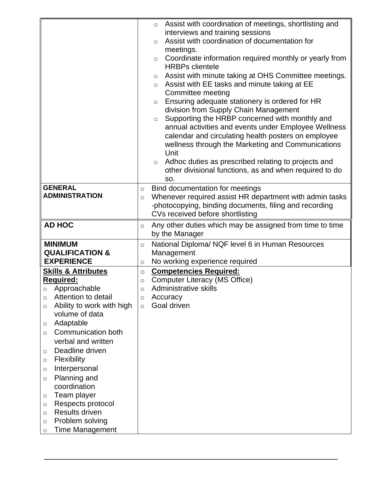|                                                       | Assist with coordination of meetings, shortlisting and<br>$\circ$                           |
|-------------------------------------------------------|---------------------------------------------------------------------------------------------|
|                                                       | interviews and training sessions                                                            |
|                                                       | Assist with coordination of documentation for<br>$\circ$                                    |
|                                                       | meetings.                                                                                   |
|                                                       | Coordinate information required monthly or yearly from<br>$\circ$<br><b>HRBPs clientele</b> |
|                                                       | Assist with minute taking at OHS Committee meetings.<br>$\circ$                             |
|                                                       | Assist with EE tasks and minute taking at EE<br>$\circ$                                     |
|                                                       | Committee meeting                                                                           |
|                                                       | Ensuring adequate stationery is ordered for HR<br>$\circ$                                   |
|                                                       | division from Supply Chain Management                                                       |
|                                                       | Supporting the HRBP concerned with monthly and<br>$\circ$                                   |
|                                                       | annual activities and events under Employee Wellness                                        |
|                                                       | calendar and circulating health posters on employee                                         |
|                                                       | wellness through the Marketing and Communications                                           |
|                                                       | Unit                                                                                        |
|                                                       | Adhoc duties as prescribed relating to projects and<br>$\circ$                              |
|                                                       | other divisional functions, as and when required to do<br>SO.                               |
| <b>GENERAL</b>                                        | Bind documentation for meetings                                                             |
| <b>ADMINISTRATION</b>                                 | $\circ$<br>Whenever required assist HR department with admin tasks<br>$\circ$               |
|                                                       | -photocopying, binding documents, filing and recording                                      |
|                                                       | CVs received before shortlisting                                                            |
| <b>AD HOC</b>                                         | Any other duties which may be assigned from time to time<br>$\circ$                         |
|                                                       | by the Manager                                                                              |
| <b>MINIMUM</b>                                        | National Diploma/ NQF level 6 in Human Resources<br>$\circ$                                 |
| <b>QUALIFICATION &amp;</b>                            | Management                                                                                  |
| <b>EXPERIENCE</b>                                     | No working experience required<br>$\circ$                                                   |
| <b>Skills &amp; Attributes</b>                        | <b>Competencies Required:</b><br>$\circ$                                                    |
| <b>Required:</b>                                      | <b>Computer Literacy (MS Office)</b><br>$\circ$                                             |
| Approachable                                          | Administrative skills<br>$\circ$                                                            |
| $\circ$ Attention to detail                           | Accuracy<br>$\Omega$                                                                        |
| Ability to work with high<br>O                        | Goal driven<br>$\circ$                                                                      |
| volume of data                                        |                                                                                             |
| Adaptable<br>$\circ$                                  |                                                                                             |
| Communication both<br>$\circ$                         |                                                                                             |
| verbal and written                                    |                                                                                             |
| Deadline driven<br>O                                  |                                                                                             |
| Flexibility<br>$\circ$                                |                                                                                             |
| Interpersonal<br>$\circ$                              |                                                                                             |
| Planning and<br>$\circ$                               |                                                                                             |
| coordination                                          |                                                                                             |
| Team player<br>$\circ$                                |                                                                                             |
| Respects protocol<br>$\circ$<br><b>Results driven</b> |                                                                                             |
| $\circ$                                               |                                                                                             |
| <b>Time Management</b>                                |                                                                                             |
| Problem solving<br>$\circ$                            |                                                                                             |
| $\circ$                                               |                                                                                             |